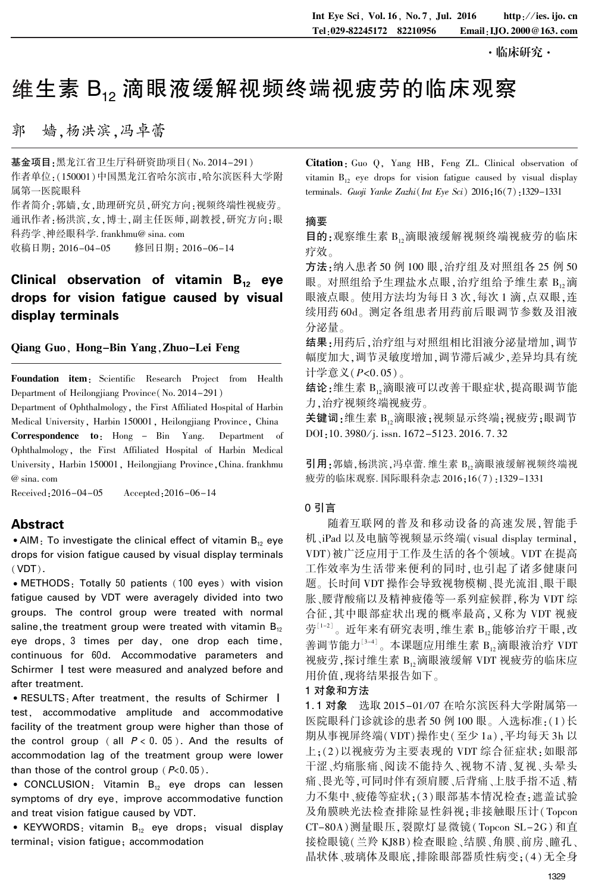·临床研究·

# 维生素 B.。滴眼液缓解视频终端视疲劳的临床观察

郭 嫱,杨洪滨,冯卓蕾

基金项目:黑龙江省卫生厅科研资助项目(No. 2014-291) 作者单位:(150001)中国黑龙江省哈尔滨市,哈尔滨医科大学附 属第一医院眼科

作者简介:郭嫱,女,助理研究员,研究方向:视频终端性视疲劳。 通讯作者:杨洪滨,女,博士,副主任医师,副教授,研究方向:眼 科药学、神经眼科学. frankhmu@ sina. com

收稿日期: 2016-04-05 修回日期: 2016-06-14

## Clinical observation of vitamin  $B_{12}$  eye drops for vision fatigue caused by visual display terminals

#### Qiang Guo, Hong-Bin Yang,Zhuo-Lei Feng

Foundation item: Scientific Research Project from Health Department of Heilongjiang Province(No. 2014-291)

Department of Ophthalmology, the First Affiliated Hospital of Harbin Medical University, Harbin 150001, Heilongjiang Province, China Correspondence to: Hong - Bin Yang. Department of Ophthalmology, the First Affiliated Hospital of Harbin Medical University, Harbin 150001, Heilongjiang Province,China. frankhmu @ sina. com

Received:2016-04-05 Accepted:2016-06-14

### Abstract

• AIM: To investigate the clinical effect of vitamin  $B_{12}$  eye drops for vision fatigue caused by visual display terminals (VDT).

• METHODS: Totally 50 patients (100 eyes) with vision fatigue caused by VDT were averagely divided into two groups. The control group were treated with normal saline, the treatment group were treated with vitamin  $B_{12}$ eye drops, 3 times per day, one drop each time, continuous for 60d. Accommodative parameters and Schirmer | test were measured and analyzed before and after treatment.

• RESULTS: After treatment, the results of Schirmer | test, accommodative amplitude and accommodative facility of the treatment group were higher than those of the control group ( all  $P < 0.05$  ). And the results of accommodation lag of the treatment group were lower than those of the control group  $(P<0.05)$ .

• CONCLUSION: Vitamin  $B_{12}$  eye drops can lessen symptoms of dry eye, improve accommodative function and treat vision fatigue caused by VDT.

• KEYWORDS: vitamin  $B_{12}$  eye drops; visual display terminal; vision fatigue; accommodation

Citation: Guo Q, Yang HB, Feng ZL. Clinical observation of vitamin  $B_{12}$  eye drops for vision fatigue caused by visual display terminals. Guoji Yanke Zazhi(Int Eye Sci)  $2016;16(7):1329-1331$ 

#### 摘要

目的:观察维生素 B12滴眼液缓解视频终端视疲劳的临床 疗效。

方法:纳入患者 50 例 100 眼,治疗组及对照组各 25 例 50 眼。对照组给予生理盐水点眼, 治疗组给予维生素 B, 滴 眼液点眼。使用方法均为每日 3 次,每次 1 滴,点双眼,连 续用药 60d。 测定各组患者用药前后眼调节参数及泪液 分泌量。

结果:用药后,治疗组与对照组相比泪液分泌量增加,调节 幅度加大,调节灵敏度增加,调节滞后减少,差异均具有统 计学意义(P<0. 05)。

结论:维生素 B,滴眼液可以改善干眼症状,提高眼调节能 力,治疗视频终端视疲劳。

关键词:维生素 B12滴眼液;视频显示终端;视疲劳;眼调节 DOI:10. 3980/j. issn. 1672-5123. 2016. 7. 32

引用:郭嫱,杨洪滨,冯卓蕾. 维生素 B,,滴眼液缓解视频终端视 疲劳的临床观察. 国际眼科杂志 2016;16(7):1329-1331

#### 0 引言

随着互联网的普及和移动设备的高速发展,智能手 机、iPad 以及电脑等视频显示终端( visual display terminal, VDT)被广泛应用于工作及生活的各个领域。 VDT 在提高 工作效率为生活带来便利的同时,也引起了诸多健康问 题。 长时间 VDT 操作会导致视物模糊、畏光流泪、眼干眼 胀、腰背酸痛以及精神疲倦等一系列症候群,称为 VDT 综 合征,其中眼部症状出现的概率最高,又称为 VDT 视疲 劳 $^{\left[1-2\right]}$ 。近年来有研究表明,维生素  $\mathrm{B}_{12}$ 能够治疗干眼,改 善调节能力 $^{\left[3\text{-}4\right]}$ 。本课题应用维生素  $\text{B}_{12}$ 滴眼液治疗 VDT 视疲劳,探讨维生素 B1,滴眼液缓解 VDT 视疲劳的临床应 用价值,现将结果报告如下。

#### 1 对象和方法

1.1 对象 选取 2015-01/07 在哈尔滨医科大学附属第一 医院眼科门诊就诊的患者 50 例 100 眼。 入选标准:(1)长 期从事视屏终端(VDT)操作史(至少 1a),平均每天 3h 以 上;(2)以视疲劳为主要表现的 VDT 综合征症状:如眼部 干涩、灼痛胀痛、阅读不能持久、视物不清、复视、头晕头 痛、畏光等,可同时伴有颈肩腰、后背痛、上肢手指不适、精 力不集中、疲倦等症状;(3)眼部基本情况检查:遮盖试验 及角膜映光法检查排除显性斜视;非接触眼压计( Topcon CT-80A)测量眼压,裂隙灯显微镜( Topcon SL-2G) 和直 接检眼镜(兰羚 KJ8B)检查眼睑、结膜、角膜、前房、瞳孔、 晶状体、玻璃体及眼底,排除眼部器质性病变;(4)无全身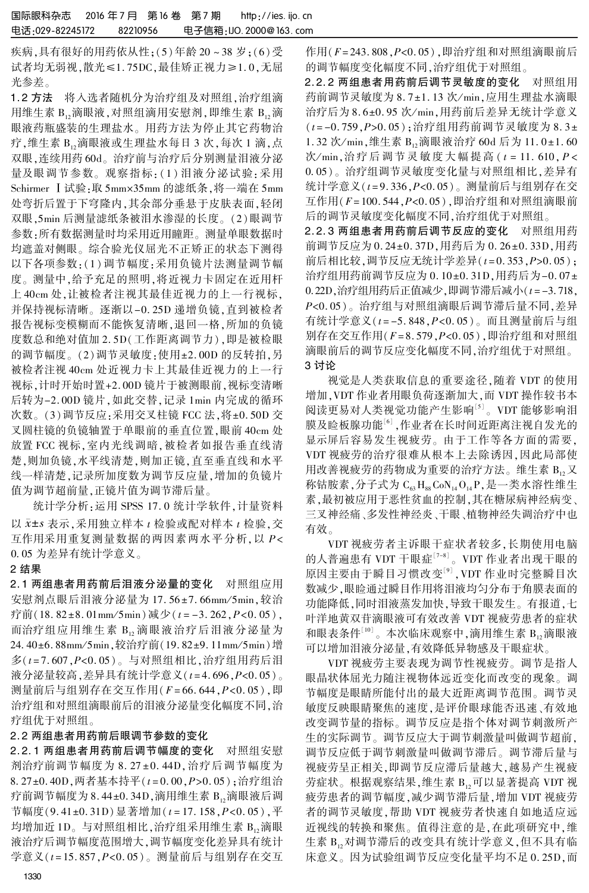疾病,具有很好的用药依从性;(5)年龄 20 ~ 38 岁;(6)受 试者均无弱视,散光≤1.75DC,最佳矫正视力≥1.0,无屈 光参差。

1.2 方法 将入选者随机分为治疗组及对照组, 治疗组滴 用维生素 B<sub>12</sub>滴眼液,对照组滴用安慰剂,即维生素 B<sub>12</sub>滴 眼液药瓶盛装的生理盐水。 用药方法为停止其它药物治 疗,维生素 B12滴眼液或生理盐水每日 3 次,每次 1 滴,点 双眼,连续用药 60d。 治疗前与治疗后分别测量泪液分泌 量及眼调节参数。观察指标: (1) 泪液分泌试验: 采用 Schirmer I 试验:取 5mm×35mm 的滤纸条,将一端在 5mm 处弯折后置于下穹隆内,其余部分垂悬于皮肤表面,轻闭 双眼,5min 后测量滤纸条被泪水渗湿的长度。 (2)眼调节 参数:所有数据测量时均采用近用瞳距。 测量单眼数据时 均遮盖对侧眼。 综合验光仪屈光不正矫正的状态下测得 以下各项参数:(1) 调节幅度:采用负镜片法测量调节幅 度。 测量中,给予充足的照明,将近视力卡固定在近用杆 上 40cm 处,让被检者注视其最佳近视力的上一行视标, 并保持视标清晰。 逐渐以-0. 25D 递增负镜,直到被检者 报告视标变模糊而不能恢复清晰,退回一格,所加的负镜 度数总和绝对值加 2. 5D(工作距离调节力),即是被检眼 的调节幅度。(2)调节灵敏度:使用±2.00D 的反转拍,另 被检者注视 40cm 处近视力卡上其最佳近视力的上一行 视标,计时开始时置+2. 00D 镜片于被测眼前,视标变清晰 后转为-2. 00D 镜片,如此交替,记录 1min 内完成的循环 次数。(3)调节反应:采用交叉柱镜 FCC 法,将±0.50D 交 叉圆柱镜的负镜轴置于单眼前的垂直位置,眼前 40cm 处 放置 FCC 视标,室内光线调暗,被检者如报告垂直线清 楚,则加负镜,水平线清楚,则加正镜,直至垂直线和水平 线一样清楚,记录所加度数为调节反应量,增加的负镜片 值为调节超前量,正镜片值为调节滞后量。

统计学分析:运用 SPSS 17. 0 统计学软件,计量资料 以  $\bar{x}$ ±s 表示,采用独立样本  $t$  检验或配对样本  $t$  检验,交 互作用采用重复测量数据的两因素两水平分析, 以 P< 0郾 05 为差异有统计学意义。

#### 2 结果

2. 1 两组患者用药前后泪液分泌量的变化 对照组应用 安慰剂点眼后泪液分泌量为 17.56±7.66mm/5min,较治 疗前(18.82±8.01mm/5min)减少( $t = -3.262, P < 0.05$ ), 而治疗组应用维生素 B,滴眼液治疗后泪液分泌量为 24. 40±6. 88mm/5min,较治疗前(19. 82±9. 11mm/5min)增 多(t = 7. 607,P<0. 05)。 与对照组相比,治疗组用药后泪 液分泌量较高,差异具有统计学意义(t=4.696,P<0.05)。 测量前后与组别存在交互作用(F = 66. 644,P<0. 05),即 治疗组和对照组滴眼前后的泪液分泌量变化幅度不同,治 疗组优于对照组。

#### 2. 2 两组患者用药前后眼调节参数的变化

2. 2. 1 两组患者用药前后调节幅度的变化 对照组安慰 剂治疗前调节幅度为 8.27±0.44D, 治疗后调节幅度为 8. 27±0. 40D, 两者基本持平(t=0.00, P>0.05); 治疗组治 疗前调节幅度为 8.44±0.34D,滴用维生素  $B_{12}$ 滴眼液后调 节幅度(9.41±0.31D)显著增加( $t = 17.158, P < 0.05$ ),平 均增加近 1D。与对照组相比,治疗组采用维生素 B,滴眼 液治疗后调节幅度范围增大,调节幅度变化差异具有统计 学意义 $(t = 15.857, P < 0.05)$ 。测量前后与组别存在交互 作用(F= 243. 808, P< 0. 05), 即治疗组和对照组滴眼前后 的调节幅度变化幅度不同,治疗组优于对照组。

2. 2. 2 两组患者用药前后调节灵敏度的变化 对照组用 药前调节灵敏度为 8.7±1.13 次/min,应用生理盐水滴眼 治疗后为 8.6±0.95 次/min,用药前后差异无统计学意义  $(t = -0.759, P > 0.05)$ ; 治疗组用药前调节灵敏度为 8.3± 1.32 次/min,维生素 B,滴眼液治疗 60d 后为 11.0±1.60 次/min,治疗后调节灵敏度大幅提高 ( t = 11. 610, P < 0.05)。治疗组调节灵敏度变化量与对照组相比,差异有 统计学意义(t = 9. 336,P<0. 05)。 测量前后与组别存在交 互作用(F= 100. 544,P<0. 05),即治疗组和对照组滴眼前 后的调节灵敏度变化幅度不同,治疗组优于对照组。

2. 2. 3 两组患者用药前后调节反应的变化 对照组用药 前调节反应为 0.24±0.37D,用药后为 0.26±0.33D,用药 前后相比较,调节反应无统计学差异 $(t = 0.353, P > 0.05)$ ; 治疗组用药前调节反应为 0.10±0.31D,用药后为-0.07± 0.22D,治疗组用药后正值减少,即调节滞后减小(t = -3.718, P<0. 05)。 治疗组与对照组滴眼后调节滞后量不同,差异 有统计学意义(t = -5. 848,P<0. 05)。 而且测量前后与组 别存在交互作用(F= 8. 579,P<0. 05),即治疗组和对照组 滴眼前后的调节反应变化幅度不同,治疗组优于对照组。 3 讨论

视觉是人类获取信息的重要途径,随着 VDT 的使用 增加,VDT 作业者用眼负荷逐渐加大,而 VDT 操作较书本 阅读更易对人类视觉功能产生影响[5] 。 VDT 能够影响泪 膜及睑板腺功能<sup>[6]</sup> ,作业者在长时间近距离注视自发光的 显示屏后容易发生视疲劳。 由于工作等各方面的需要, VDT 视疲劳的治疗很难从根本上去除诱因,因此局部使 用改善视疲劳的药物成为重要的治疗方法。维生素 B, 又 称钴胺素,分子式为 $C_{63}$  H<sub>ss</sub> $CoN_{14}O_{14}P$ ,是一类水溶性维生 素,最初被应用于恶性贫血的控制,其在糖尿病神经病变、 三叉神经痛、多发性神经炎、干眼、植物神经失调治疗中也 有效。

VDT 视疲劳者主诉眼干症状者较多,长期使用电脑 的人普遍患有 VDT 干眼症'<sup>7-8」</sup>。VDT 作业者出现干眼的 原因主要由于瞬目习惯改变[9] ,VDT 作业时完整瞬目次 数减少,眼睑通过瞬目作用将泪液均匀分布于角膜表面的 功能降低,同时泪液蒸发加快,导致干眼发生。 有报道,七 叶洋地黄双苷滴眼液可有效改善 VDT 视疲劳患者的症状 和眼表条件 $^{\left[10\right]}$ 。本次临床观察中,滴用维生素  $\text{B}_{12}$ 滴眼液 可以增加泪液分泌量,有效降低异物感及干眼症状。

VDT 视疲劳主要表现为调节性视疲劳。 调节是指人 眼晶状体屈光力随注视物体远近变化而改变的现象。 调 节幅度是眼睛所能付出的最大近距离调节范围。 调节灵 敏度反映眼睛聚焦的速度,是评价眼球能否迅速、有效地 改变调节量的指标。 调节反应是指个体对调节刺激所产 生的实际调节。 调节反应大于调节刺激量叫做调节超前, 调节反应低于调节刺激量叫做调节滞后。 调节滞后量与 视疲劳呈正相关,即调节反应滞后量越大,越易产生视疲 劳症状。根据观察结果,维生素 B,可以显著提高 VDT 视 疲劳患者的调节幅度,减少调节滞后量,增加 VDT 视疲劳 者的调节灵敏度,帮助 VDT 视疲劳者快速自如地适应远 近视线的转换和聚焦。 值得注意的是,在此项研究中,维 生素 B,,对调节滞后的改变具有统计学意义,但不具有临 床意义。 因为试验组调节反应变化量平均不足 0. 25D,而